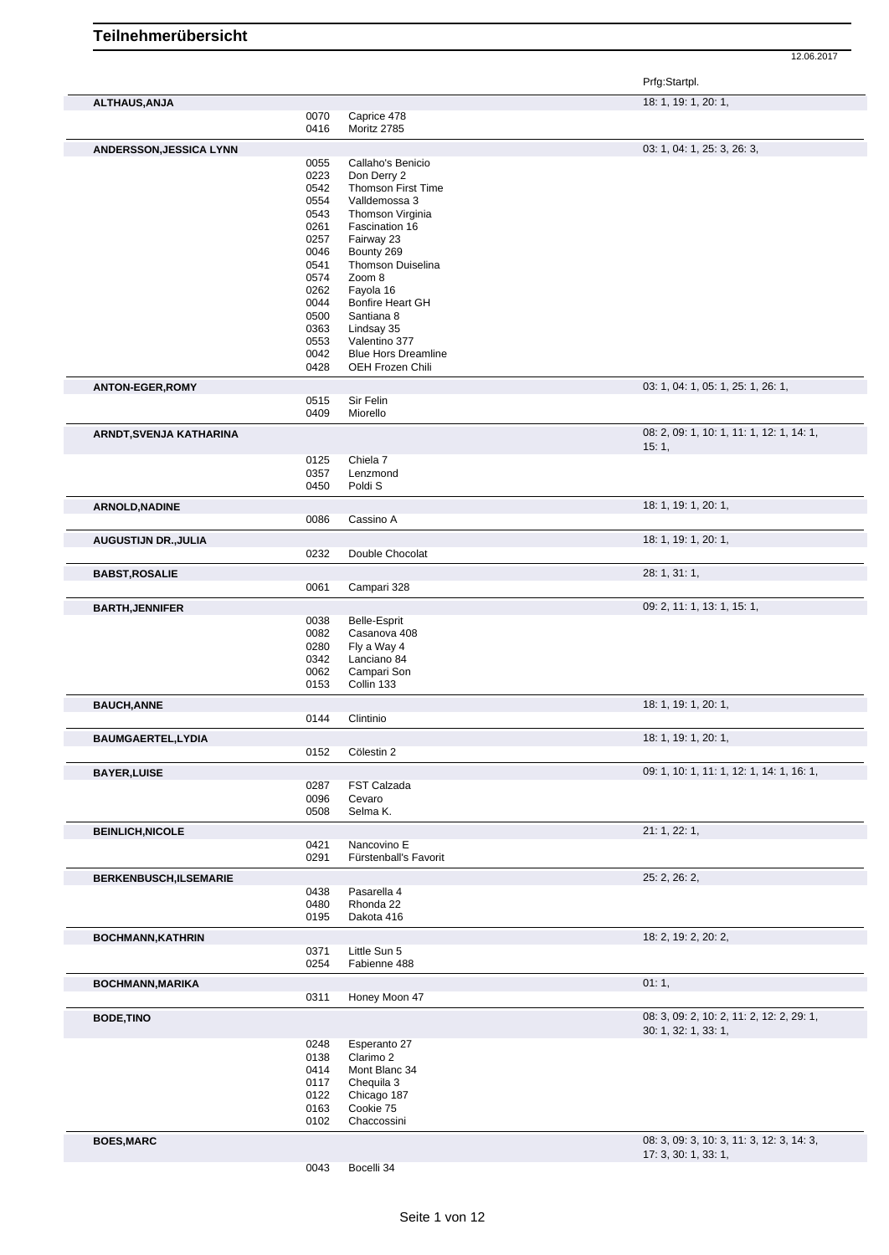Prfg:Startpl.

| <b>ALTHAUS, ANJA</b>           |              |                            | 18: 1, 19: 1, 20: 1,                                              |
|--------------------------------|--------------|----------------------------|-------------------------------------------------------------------|
|                                | 0070         | Caprice 478                |                                                                   |
|                                | 0416         | Moritz 2785                |                                                                   |
|                                |              |                            |                                                                   |
| <b>ANDERSSON, JESSICA LYNN</b> |              |                            | 03: 1, 04: 1, 25: 3, 26: 3,                                       |
|                                | 0055         | Callaho's Benicio          |                                                                   |
|                                | 0223         | Don Derry 2                |                                                                   |
|                                | 0542         | Thomson First Time         |                                                                   |
|                                | 0554         | Valldemossa 3              |                                                                   |
|                                | 0543         | Thomson Virginia           |                                                                   |
|                                | 0261         | Fascination 16             |                                                                   |
|                                | 0257         | Fairway 23                 |                                                                   |
|                                | 0046         | Bounty 269                 |                                                                   |
|                                | 0541         | <b>Thomson Duiselina</b>   |                                                                   |
|                                | 0574         | Zoom 8                     |                                                                   |
|                                | 0262         | Fayola 16                  |                                                                   |
|                                | 0044         | Bonfire Heart GH           |                                                                   |
|                                | 0500         | Santiana 8                 |                                                                   |
|                                | 0363         | Lindsay 35                 |                                                                   |
|                                | 0553         | Valentino 377              |                                                                   |
|                                | 0042         | <b>Blue Hors Dreamline</b> |                                                                   |
|                                | 0428         | OEH Frozen Chili           |                                                                   |
| <b>ANTON-EGER, ROMY</b>        |              |                            | 03: 1, 04: 1, 05: 1, 25: 1, 26: 1,                                |
|                                | 0515         | Sir Felin                  |                                                                   |
|                                | 0409         | Miorello                   |                                                                   |
| ARNDT, SVENJA KATHARINA        |              |                            | 08: 2, 09: 1, 10: 1, 11: 1, 12: 1, 14: 1,                         |
|                                | 0125         | Chiela 7                   | 15:1,                                                             |
|                                | 0357         | Lenzmond                   |                                                                   |
|                                | 0450         | Poldi <sub>S</sub>         |                                                                   |
|                                |              |                            |                                                                   |
| ARNOLD, NADINE                 | 0086         | Cassino A                  | 18: 1, 19: 1, 20: 1,                                              |
|                                |              |                            |                                                                   |
| <b>AUGUSTIJN DR., JULIA</b>    |              |                            | 18: 1, 19: 1, 20: 1,                                              |
|                                | 0232         | Double Chocolat            |                                                                   |
| <b>BABST, ROSALIE</b>          |              |                            | 28: 1, 31: 1,                                                     |
|                                | 0061         | Campari 328                |                                                                   |
|                                |              |                            | 09: 2, 11: 1, 13: 1, 15: 1,                                       |
| <b>BARTH, JENNIFER</b>         |              |                            |                                                                   |
|                                | 0038         | <b>Belle-Esprit</b>        |                                                                   |
|                                | 0082         | Casanova 408               |                                                                   |
|                                | 0280         | Fly a Way 4                |                                                                   |
|                                | 0342         | Lanciano 84                |                                                                   |
|                                | 0062         | Campari Son                |                                                                   |
|                                | 0153         | Collin 133                 |                                                                   |
| <b>BAUCH, ANNE</b>             |              |                            | 18: 1, 19: 1, 20: 1,                                              |
|                                | 0144         | Clintinio                  |                                                                   |
| <b>BAUMGAERTEL,LYDIA</b>       |              |                            | 18: 1, 19: 1, 20: 1,                                              |
|                                | 0152         | Cölestin 2                 |                                                                   |
| <b>BAYER, LUISE</b>            |              |                            | 09: 1, 10: 1, 11: 1, 12: 1, 14: 1, 16: 1,                         |
|                                | 0287         | FST Calzada                |                                                                   |
|                                | 0096         | Cevaro                     |                                                                   |
|                                | 0508         | Selma K.                   |                                                                   |
| <b>BEINLICH, NICOLE</b>        |              |                            | 21: 1, 22: 1,                                                     |
|                                | 0421         | Nancovino E                |                                                                   |
|                                | 0291         | Fürstenball's Favorit      |                                                                   |
| <b>BERKENBUSCH,ILSEMARIE</b>   |              |                            | 25: 2, 26: 2,                                                     |
|                                | 0438         | Pasarella 4                |                                                                   |
|                                | 0480<br>0195 | Rhonda 22<br>Dakota 416    |                                                                   |
|                                |              |                            |                                                                   |
| <b>BOCHMANN, KATHRIN</b>       | 0371         | Little Sun 5               | 18: 2, 19: 2, 20: 2,                                              |
|                                | 0254         | Fabienne 488               |                                                                   |
|                                |              |                            | 01:1,                                                             |
| <b>BOCHMANN, MARIKA</b>        | 0311         | Honey Moon 47              |                                                                   |
|                                |              |                            |                                                                   |
| <b>BODE, TINO</b>              |              |                            | 08: 3, 09: 2, 10: 2, 11: 2, 12: 2, 29: 1,<br>30: 1, 32: 1, 33: 1, |
|                                | 0248         | Esperanto 27               |                                                                   |
|                                | 0138         | Clarimo 2                  |                                                                   |
|                                | 0414         | Mont Blanc 34              |                                                                   |
|                                | 0117         | Chequila 3                 |                                                                   |
|                                | 0122         | Chicago 187                |                                                                   |
|                                | 0163         | Cookie 75                  |                                                                   |
|                                |              |                            |                                                                   |
|                                | 0102         | Chaccossini                |                                                                   |
|                                |              |                            |                                                                   |
| <b>BOES, MARC</b>              |              |                            | 08: 3, 09: 3, 10: 3, 11: 3, 12: 3, 14: 3,<br>17: 3, 30: 1, 33: 1, |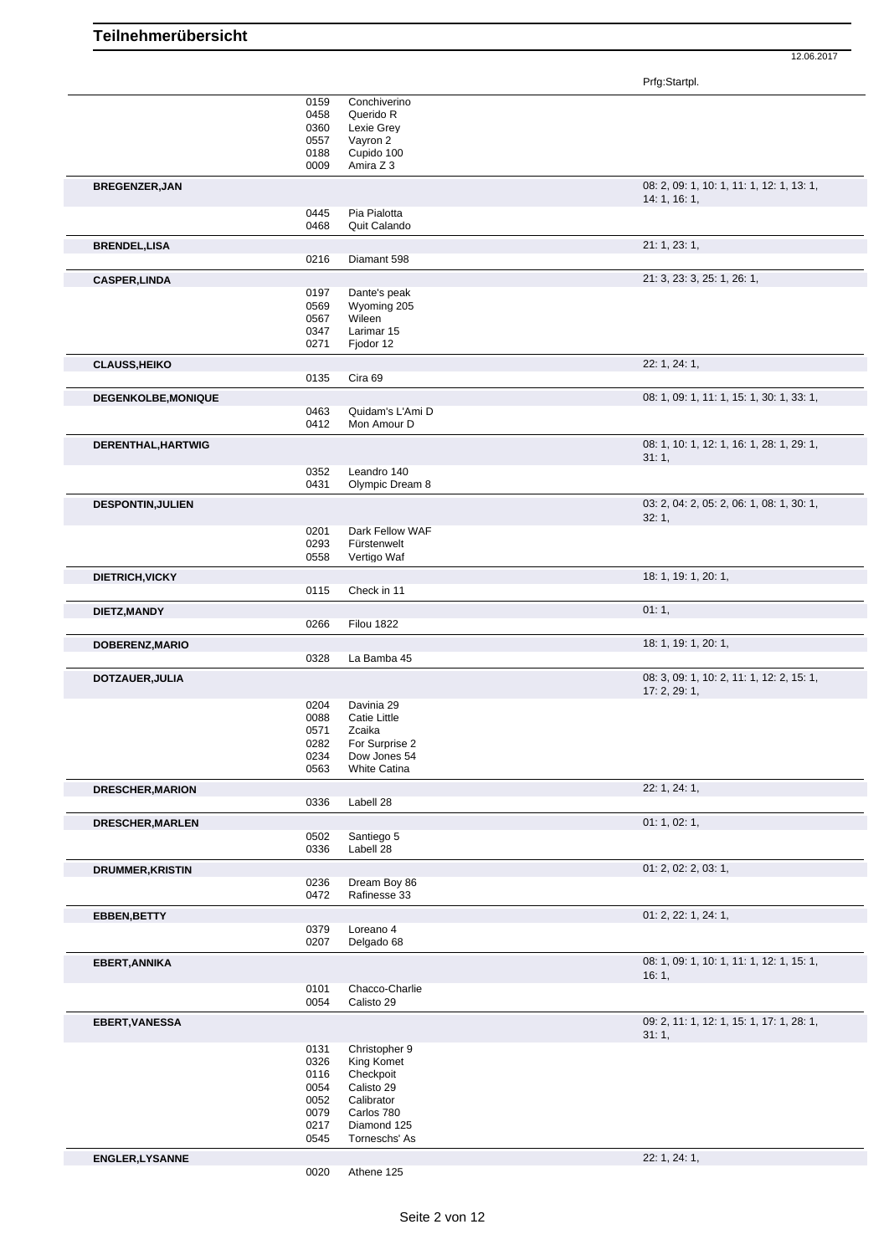|                          |              |                                | Prfg:Startpl.                                            |
|--------------------------|--------------|--------------------------------|----------------------------------------------------------|
|                          | 0159         | Conchiverino                   |                                                          |
|                          | 0458         | Querido R                      |                                                          |
|                          | 0360         | Lexie Grey                     |                                                          |
|                          | 0557         | Vayron 2                       |                                                          |
|                          | 0188         | Cupido 100                     |                                                          |
|                          | 0009         | Amira Z 3                      |                                                          |
| BREGENZER, JAN           |              |                                | 08: 2, 09: 1, 10: 1, 11: 1, 12: 1, 13: 1,<br>14:1, 16:1, |
|                          | 0445         | Pia Pialotta                   |                                                          |
|                          | 0468         | Quit Calando                   |                                                          |
| <b>BRENDEL, LISA</b>     | 0216         | Diamant 598                    | 21: 1, 23: 1,                                            |
|                          |              |                                |                                                          |
| <b>CASPER, LINDA</b>     | 0197         | Dante's peak                   | 21: 3, 23: 3, 25: 1, 26: 1,                              |
|                          | 0569         | Wyoming 205                    |                                                          |
|                          | 0567         | Wileen                         |                                                          |
|                          | 0347         | Larimar 15                     |                                                          |
|                          | 0271         | Fjodor 12                      |                                                          |
| <b>CLAUSS, HEIKO</b>     |              |                                | 22: 1, 24: 1,                                            |
|                          | 0135         | Cira 69                        |                                                          |
| DEGENKOLBE, MONIQUE      |              |                                | 08: 1, 09: 1, 11: 1, 15: 1, 30: 1, 33: 1,                |
|                          | 0463         | Quidam's L'Ami D               |                                                          |
|                          | 0412         | Mon Amour D                    |                                                          |
| DERENTHAL, HARTWIG       |              |                                | 08: 1, 10: 1, 12: 1, 16: 1, 28: 1, 29: 1,                |
|                          |              |                                | 31:1,                                                    |
|                          | 0352<br>0431 | Leandro 140<br>Olympic Dream 8 |                                                          |
|                          |              |                                |                                                          |
| <b>DESPONTIN, JULIEN</b> |              |                                | 03: 2, 04: 2, 05: 2, 06: 1, 08: 1, 30: 1,<br>32:1,       |
|                          | 0201         | Dark Fellow WAF                |                                                          |
|                          | 0293         | Fürstenwelt                    |                                                          |
|                          | 0558         | Vertigo Waf                    |                                                          |
| DIETRICH, VICKY          |              |                                | 18: 1, 19: 1, 20: 1,                                     |
|                          | 0115         | Check in 11                    |                                                          |
| DIETZ, MANDY             |              |                                | 01:1,                                                    |
|                          | 0266         | <b>Filou 1822</b>              |                                                          |
| DOBERENZ, MARIO          |              |                                | 18: 1, 19: 1, 20: 1,                                     |
|                          | 0328         | La Bamba 45                    |                                                          |
| DOTZAUER, JULIA          |              |                                | 08: 3, 09: 1, 10: 2, 11: 1, 12: 2, 15: 1,                |
|                          | 0204         | Davinia 29                     | 17: 2, 29: 1,                                            |
|                          | 0088         | Catie Little                   |                                                          |
|                          | 0571         | Zcaika                         |                                                          |
|                          | 0282         | For Surprise 2                 |                                                          |
|                          | 0234         | Dow Jones 54                   |                                                          |
|                          | 0563         | <b>White Catina</b>            |                                                          |
| <b>DRESCHER, MARION</b>  |              |                                | 22: 1, 24: 1,                                            |
|                          | 0336         | Labell 28                      |                                                          |
| DRESCHER, MARLEN         |              |                                | 01: 1, 02: 1,                                            |
|                          | 0502         | Santiego 5                     |                                                          |
|                          | 0336         | Labell 28                      |                                                          |
| <b>DRUMMER, KRISTIN</b>  |              |                                | 01: 2, 02: 2, 03: 1,                                     |
|                          | 0236<br>0472 | Dream Boy 86<br>Rafinesse 33   |                                                          |
|                          |              |                                |                                                          |
| EBBEN, BETTY             |              | Loreano 4                      | 01: 2, 22: 1, 24: 1,                                     |
|                          | 0379<br>0207 | Delgado 68                     |                                                          |
| <b>EBERT, ANNIKA</b>     |              |                                | 08: 1, 09: 1, 10: 1, 11: 1, 12: 1, 15: 1,                |
|                          |              |                                | 16:1,                                                    |
|                          | 0101         | Chacco-Charlie                 |                                                          |
|                          | 0054         | Calisto 29                     |                                                          |
| <b>EBERT, VANESSA</b>    |              |                                | 09: 2, 11: 1, 12: 1, 15: 1, 17: 1, 28: 1,                |
|                          | 0131         | Christopher 9                  | 31:1,                                                    |
|                          | 0326         | King Komet                     |                                                          |
|                          | 0116         | Checkpoit                      |                                                          |
|                          | 0054         | Calisto 29                     |                                                          |
|                          | 0052         | Calibrator                     |                                                          |
|                          | 0079         | Carlos 780                     |                                                          |
|                          | 0217         | Diamond 125                    |                                                          |
|                          | 0545         | Torneschs' As                  |                                                          |
| <b>ENGLER, LYSANNE</b>   |              |                                | 22: 1, 24: 1,                                            |
|                          | 0020         | Athene 125                     |                                                          |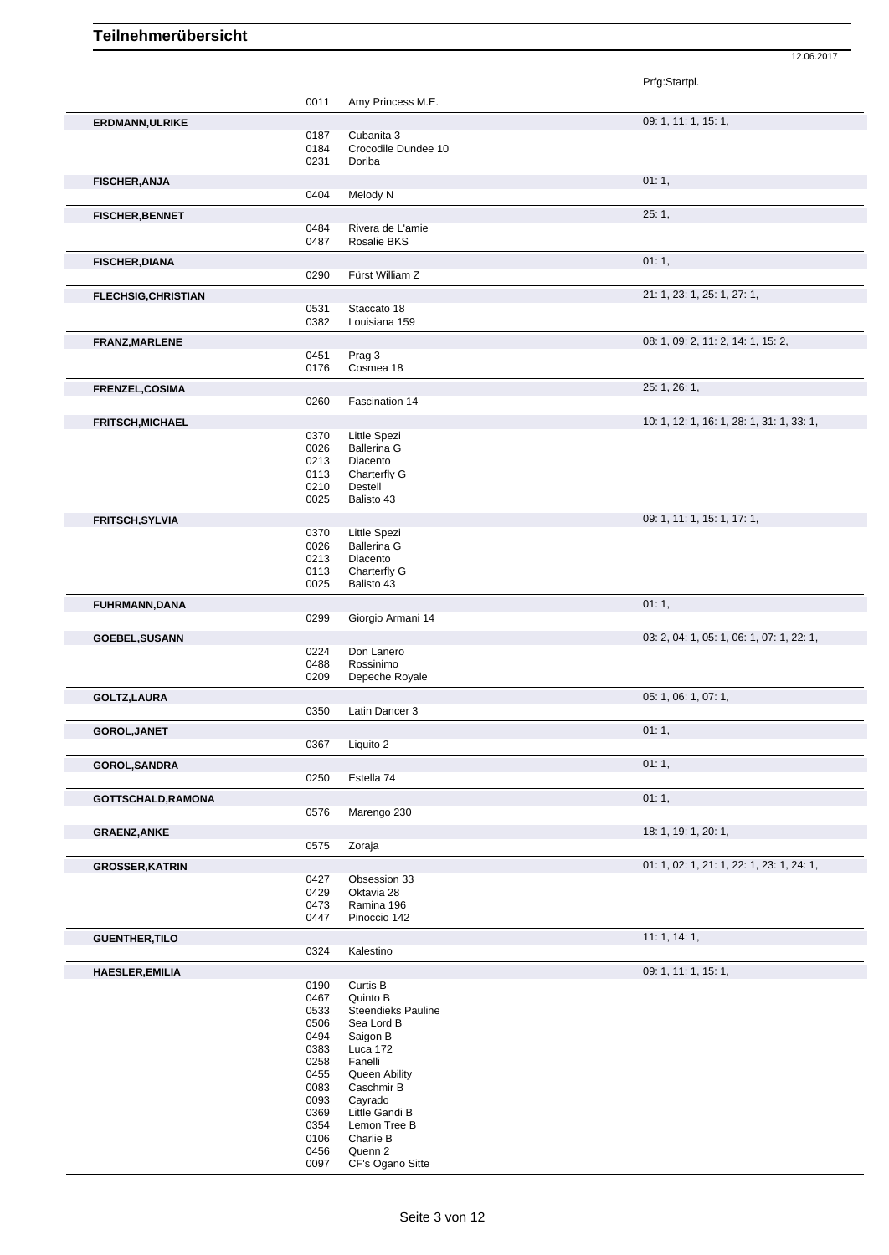Prfg:Startpl. 0011 Amy Princess M.E. **ERDMANN,ULRIKE** 09: 1, 11: 1, 15: 1, 0187 Cubanita 3 0184 Crocodile Dundee 10 0231 Doriba **FISCHER,ANJA** 01: 1, 00: 1, 00: 1, 00: 1, 00: 1, 00: 1, 00: 1, 00: 1, 00: 1, 00: 1, 00: 1, 00: 1, 00: 1, 00: 1, 00: 1, 00: 1, 00: 1, 00: 1, 00: 1, 00: 1, 00: 1, 00: 1, 00: 1, 00: 1, 00: 00: 1, 00: 00: 00: 00: 00: 00: 00: 0404 Melody N **FISCHER,BENNET** 25: 1, 0484 Rivera de L'amie 0487 Rosalie BKS **FISCHER, DIANA** 01: 1, 01: 1, 01: 1, 01: 1, 01: 1, 01: 1, 01: 1, 01: 1, 01: 1, 01: 1, 01: 1, 01: 1, 01: 1, 01: 1, 01: 1, 01: 1, 01: 1, 01: 1, 01: 1, 01: 1, 01: 1, 01: 1, 01: 1, 01: 1, 01: 1, 01: 1, 01: 1, 01: 1, 01: 01: 0 0290 Fürst William Z **FLECHSIG,CHRISTIAN** 21: 1, 23: 1, 25: 1, 27: 1, 0531 Staccato 18<br>0382 Louisiana 15 Louisiana 159 **FRANZ,MARLENE** 08: 1, 09: 2, 11: 2, 14: 1, 15: 2, 0451 Prag 3 0451 Prag 3<br>0176 Cosme Cosmea 18 **FRENZEL,COSIMA** 25: 1, 26: 1, Fascination 14 **FRITSCH,MICHAEL FRITSCH,MICHAEL 10: 1, 12: 1, 16: 1, 28: 1, 31: 1, 33: 1, 33: 1, 33: 1, 33: 1, 33: 1, 33: 1, 33: 1, 33: 1, 33: 1, 33: 1, 33: 1, 33: 1, 33: 1, 33: 1, 33: 1, 33: 1, 33: 1, 33: 1, 33: 1, 33: 1, 33: 1, 33:** 0370 Little Spezi<br>0026 Ballerina G 0026 Ballerina G<br>0213 Diacento 0213 Diacento<br>0113 Charterfly Charterfly G 0210 Destell 0025 Balisto 43 **FRITSCH, SYLVIA** 09: 1, 11: 1, 15: 1, 17: 1, 0370 little Spezial and the Spezial Company of the Spezial Company of the Spezial Company of the Spezial Company of the Spezial Company of the Spezial Company of the Spezial Co 0370 Little Spezi<br>0026 Ballerina G 0026 Ballerina G<br>0213 Diacento Diacento 0113 Charterfly G<br>0025 Balisto 43 Balisto 43 **FUHRMANN,DANA** 01: 1, 01: 1, 01: 1, 01: 1, 01: 1, 01: 1, 01: 1, 01: 1, 01: 1, 01: 1, 01: 1, 01: 1, 01: 1, 01: 1, 01: 1, 01: 1, 01: 1, 01: 1, 01: 1, 01: 1, 01: 1, 01: 1, 01: 1, 01: 1, 01: 1, 01: 1, 01: 1, 01: 01: 01: 01: 0 0299 Giorgio Armani 14 **GOEBEL,SUSANN** 0224 Don Lanero 0224 Don Lanero 0224 Don Lanero 03: 2, 04: 1, 05: 1, 05: 1, 07: 1, 22: 1, Don Lanero 0488 Rossinimo<br>0209 Depeche R Depeche Royale **GOLTZ,LAURA** 05: 1, 06: 1, 07: 1, 06: 1, 07: 1, 05: 1, 06: 1, 07: 1, 05: 1, 06: 1, 07: 1, 05: 1, 07: 1, 07: 1, Latin Dancer 3 **GOROL,JANET** 01: 1, 0367 Liquito 2 Liquito 2 **GOROL,SANDRA** 01: 1, 0250 Estella 74 Estella 74 **GOTTSCHALD,RAMONA** 01: 1, 0576 Marengo 230 Marengo 230 **GRAENZ,ANKE** 18: 1, 19: 1, 20: 1, Zoraja **GROSSER, KATRIN** 0427 Obsession 33 0427 Obsession 33 0427 Obsession 33<br>0429 Oktavia 28 Oktavia 28 0473 Ramina 196<br>0447 Pinoccio 142 Pinoccio 142 **GUENTHER,TILO** 11: 1, 14: 1, Kalestino **HAESLER,EMILIA** 09: 1, 11: 1, 15: 1, 0190 Curtis B 0467 Quinto B 0533 Steendieks Pauline 0506 Sea Lord B<br>0494 Saigon B Saigon B 0383 Luca 172<br>0258 Fanelli 0258 Fanelli<br>0455 Queen 0455 Queen Ability<br>0083 Caschmir B 0083 Caschmir B<br>0093 Cayrado 0093 Cayrado<br>0369 Little Gar 0369 Little Gandi B<br>0354 Lemon Tree B 0354 Lemon Tree B<br>0106 Charlie B 0106 Charlie B<br>0456 Quenn 2

12.06.2017

0456 Quenn 2<br>0097 CF's Oga

CF's Ogano Sitte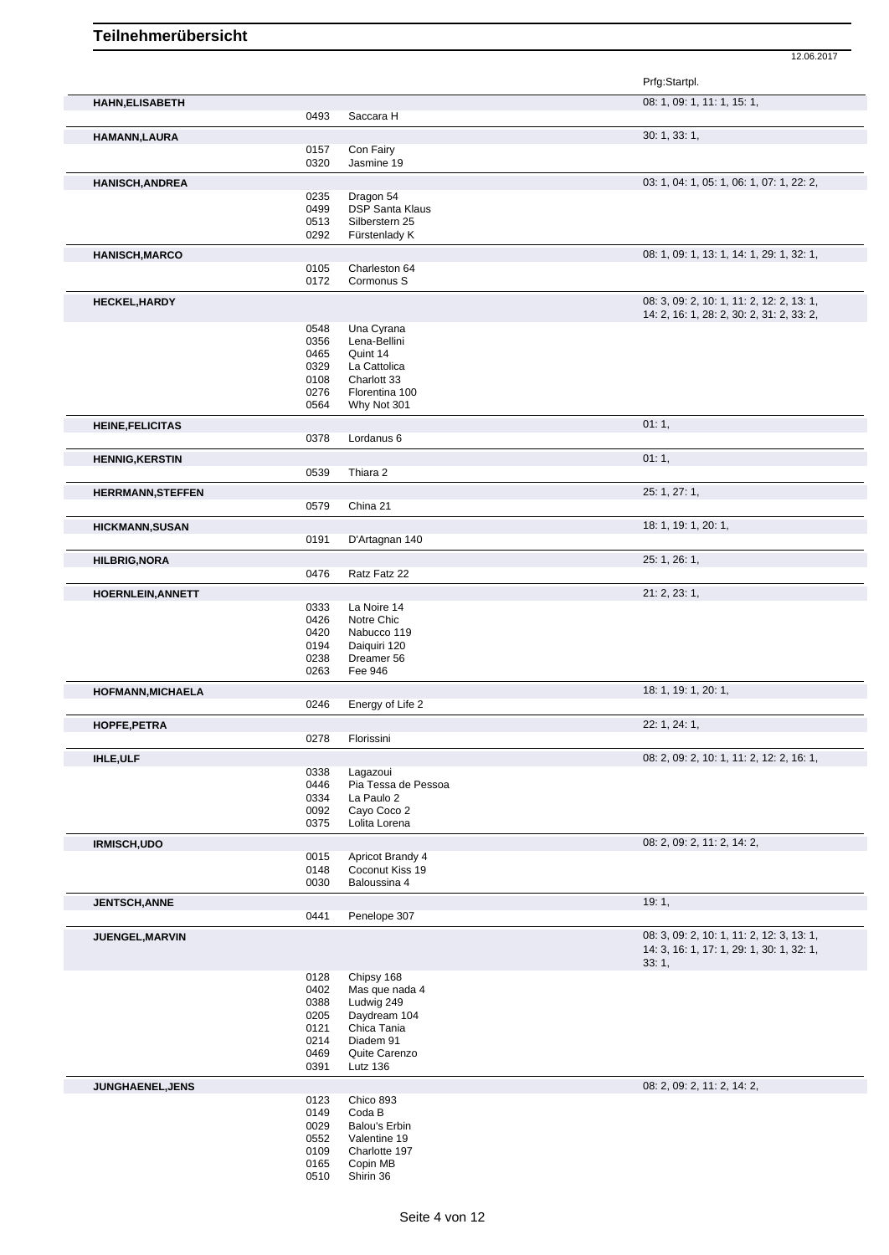|                          |              |                                 | Prfg:Startpl.                                                                                   |
|--------------------------|--------------|---------------------------------|-------------------------------------------------------------------------------------------------|
| <b>HAHN, ELISABETH</b>   |              |                                 | 08: 1, 09: 1, 11: 1, 15: 1,                                                                     |
|                          | 0493         | Saccara H                       |                                                                                                 |
| HAMANN, LAURA            |              |                                 | 30: 1, 33: 1,                                                                                   |
|                          | 0157<br>0320 | Con Fairy<br>Jasmine 19         |                                                                                                 |
|                          |              |                                 | 03: 1, 04: 1, 05: 1, 06: 1, 07: 1, 22: 2,                                                       |
| <b>HANISCH, ANDREA</b>   | 0235         | Dragon 54                       |                                                                                                 |
|                          | 0499         | <b>DSP Santa Klaus</b>          |                                                                                                 |
|                          | 0513         | Silberstern 25                  |                                                                                                 |
|                          | 0292         | Fürstenlady K                   |                                                                                                 |
| <b>HANISCH, MARCO</b>    |              |                                 | 08: 1, 09: 1, 13: 1, 14: 1, 29: 1, 32: 1,                                                       |
|                          | 0105         | Charleston 64                   |                                                                                                 |
|                          | 0172         | Cormonus S                      |                                                                                                 |
| <b>HECKEL, HARDY</b>     |              |                                 | 08: 3, 09: 2, 10: 1, 11: 2, 12: 2, 13: 1,                                                       |
|                          | 0548         | Una Cyrana                      | 14: 2, 16: 1, 28: 2, 30: 2, 31: 2, 33: 2,                                                       |
|                          | 0356         | Lena-Bellini                    |                                                                                                 |
|                          | 0465         | Quint 14                        |                                                                                                 |
|                          | 0329         | La Cattolica<br>Charlott 33     |                                                                                                 |
|                          | 0108<br>0276 | Florentina 100                  |                                                                                                 |
|                          | 0564         | Why Not 301                     |                                                                                                 |
| <b>HEINE, FELICITAS</b>  |              |                                 | 01:1,                                                                                           |
|                          | 0378         | Lordanus 6                      |                                                                                                 |
| <b>HENNIG, KERSTIN</b>   |              |                                 | 01:1,                                                                                           |
|                          | 0539         | Thiara 2                        |                                                                                                 |
| <b>HERRMANN, STEFFEN</b> |              |                                 | 25: 1, 27: 1,                                                                                   |
|                          | 0579         | China 21                        |                                                                                                 |
| <b>HICKMANN, SUSAN</b>   |              |                                 | 18: 1, 19: 1, 20: 1,                                                                            |
|                          | 0191         | D'Artagnan 140                  |                                                                                                 |
| <b>HILBRIG, NORA</b>     |              |                                 | 25: 1, 26: 1,                                                                                   |
|                          | 0476         | Ratz Fatz 22                    |                                                                                                 |
|                          |              |                                 | 21: 2, 23: 1,                                                                                   |
| HOERNLEIN, ANNETT        | 0333         | La Noire 14                     |                                                                                                 |
|                          | 0426         | Notre Chic                      |                                                                                                 |
|                          | 0420         | Nabucco 119                     |                                                                                                 |
|                          | 0194         | Daiquiri 120                    |                                                                                                 |
|                          | 0238<br>0263 | Dreamer 56<br>Fee 946           |                                                                                                 |
|                          |              |                                 | 18: 1, 19: 1, 20: 1,                                                                            |
| <b>HOFMANN, MICHAELA</b> | 0246         | Energy of Life 2                |                                                                                                 |
| HOPFE, PETRA             |              |                                 | 22: 1, 24: 1,                                                                                   |
|                          | 0278         | Florissini                      |                                                                                                 |
|                          |              |                                 | 08: 2, 09: 2, 10: 1, 11: 2, 12: 2, 16: 1,                                                       |
| <b>IHLE, ULF</b>         | 0338         | Lagazoui                        |                                                                                                 |
|                          | 0446         | Pia Tessa de Pessoa             |                                                                                                 |
|                          | 0334         | La Paulo 2                      |                                                                                                 |
|                          | 0092         | Cayo Coco 2                     |                                                                                                 |
|                          | 0375         | Lolita Lorena                   |                                                                                                 |
| <b>IRMISCH, UDO</b>      |              |                                 | 08: 2, 09: 2, 11: 2, 14: 2,                                                                     |
|                          | 0015         | Apricot Brandy 4                |                                                                                                 |
|                          | 0148<br>0030 | Coconut Kiss 19<br>Baloussina 4 |                                                                                                 |
|                          |              |                                 |                                                                                                 |
| <b>JENTSCH, ANNE</b>     | 0441         | Penelope 307                    | 19:1,                                                                                           |
|                          |              |                                 |                                                                                                 |
| JUENGEL, MARVIN          |              |                                 | 08: 3, 09: 2, 10: 1, 11: 2, 12: 3, 13: 1,<br>14: 3, 16: 1, 17: 1, 29: 1, 30: 1, 32: 1,<br>33:1, |
|                          | 0128         | Chipsy 168                      |                                                                                                 |
|                          | 0402         | Mas que nada 4                  |                                                                                                 |
|                          | 0388<br>0205 | Ludwig 249<br>Daydream 104      |                                                                                                 |
|                          | 0121         | Chica Tania                     |                                                                                                 |
|                          | 0214         | Diadem 91                       |                                                                                                 |
|                          | 0469         | Quite Carenzo                   |                                                                                                 |
|                          | 0391         | Lutz 136                        |                                                                                                 |
| <b>JUNGHAENEL, JENS</b>  |              |                                 | 08: 2, 09: 2, 11: 2, 14: 2,                                                                     |
|                          | 0123         | Chico 893                       |                                                                                                 |
|                          | 0149         | Coda B                          |                                                                                                 |
|                          |              |                                 |                                                                                                 |
|                          | 0029<br>0552 | Balou's Erbin<br>Valentine 19   |                                                                                                 |
|                          | 0109         | Charlotte 197                   |                                                                                                 |
|                          | 0165<br>0510 | Copin MB<br>Shirin 36           |                                                                                                 |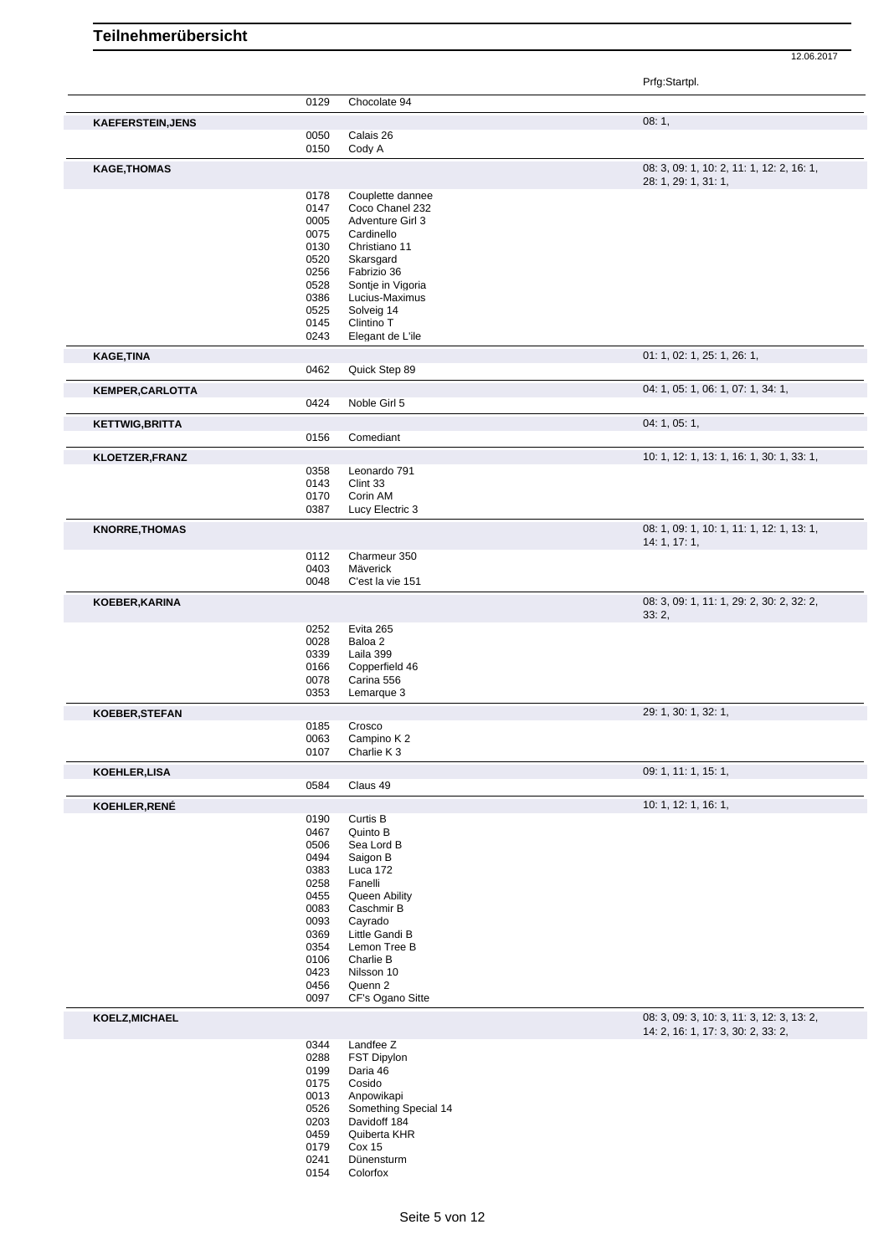12.06.2017

Prfg:Startpl.

|                          | 0129 | Chocolate 94         |                                           |
|--------------------------|------|----------------------|-------------------------------------------|
| <b>KAEFERSTEIN, JENS</b> |      |                      | 08:1,                                     |
|                          | 0050 | Calais 26            |                                           |
|                          | 0150 | Cody A               |                                           |
|                          |      |                      |                                           |
| <b>KAGE, THOMAS</b>      |      |                      | 08: 3, 09: 1, 10: 2, 11: 1, 12: 2, 16: 1, |
|                          |      |                      | 28: 1, 29: 1, 31: 1,                      |
|                          | 0178 | Couplette dannee     |                                           |
|                          | 0147 | Coco Chanel 232      |                                           |
|                          | 0005 | Adventure Girl 3     |                                           |
|                          | 0075 | Cardinello           |                                           |
|                          | 0130 | Christiano 11        |                                           |
|                          | 0520 | Skarsgard            |                                           |
|                          | 0256 | Fabrizio 36          |                                           |
|                          | 0528 | Sontje in Vigoria    |                                           |
|                          | 0386 | Lucius-Maximus       |                                           |
|                          | 0525 | Solveig 14           |                                           |
|                          | 0145 | Clintino T           |                                           |
|                          | 0243 | Elegant de L'ile     |                                           |
|                          |      |                      |                                           |
| <b>KAGE, TINA</b>        |      |                      | 01: 1, 02: 1, 25: 1, 26: 1,               |
|                          | 0462 | Quick Step 89        |                                           |
|                          |      |                      |                                           |
| <b>KEMPER, CARLOTTA</b>  |      |                      | 04: 1, 05: 1, 06: 1, 07: 1, 34: 1,        |
|                          | 0424 | Noble Girl 5         |                                           |
|                          |      |                      |                                           |
| <b>KETTWIG, BRITTA</b>   |      |                      | 04: 1, 05: 1,                             |
|                          | 0156 | Comediant            |                                           |
| <b>KLOETZER, FRANZ</b>   |      |                      | 10: 1, 12: 1, 13: 1, 16: 1, 30: 1, 33: 1, |
|                          | 0358 | Leonardo 791         |                                           |
|                          |      |                      |                                           |
|                          | 0143 | Clint 33             |                                           |
|                          | 0170 | Corin AM             |                                           |
|                          | 0387 | Lucy Electric 3      |                                           |
| <b>KNORRE, THOMAS</b>    |      |                      | 08: 1, 09: 1, 10: 1, 11: 1, 12: 1, 13: 1, |
|                          |      |                      | 14: 1, 17: 1,                             |
|                          | 0112 | Charmeur 350         |                                           |
|                          | 0403 | Mäverick             |                                           |
|                          | 0048 | C'est la vie 151     |                                           |
|                          |      |                      |                                           |
| KOEBER, KARINA           |      |                      | 08: 3, 09: 1, 11: 1, 29: 2, 30: 2, 32: 2, |
|                          |      |                      | 33:2,                                     |
|                          | 0252 | Evita 265            |                                           |
|                          | 0028 | Baloa 2              |                                           |
|                          | 0339 | Laila 399            |                                           |
|                          | 0166 | Copperfield 46       |                                           |
|                          | 0078 | Carina 556           |                                           |
|                          | 0353 | Lemarque 3           |                                           |
|                          |      |                      |                                           |
| <b>KOEBER, STEFAN</b>    |      |                      | 29: 1, 30: 1, 32: 1,                      |
|                          | 0185 | Crosco               |                                           |
|                          | 0063 | Campino K2           |                                           |
|                          | 0107 | Charlie K 3          |                                           |
|                          |      |                      | 09: 1, 11: 1, 15: 1,                      |
| KOEHLER,LISA             |      |                      |                                           |
|                          | 0584 | Claus 49             |                                           |
| KOEHLER, RENÉ            |      |                      | 10: 1, 12: 1, 16: 1,                      |
|                          | 0190 | Curtis B             |                                           |
|                          | 0467 | Quinto B             |                                           |
|                          | 0506 | Sea Lord B           |                                           |
|                          | 0494 | Saigon B             |                                           |
|                          | 0383 | Luca 172             |                                           |
|                          |      |                      |                                           |
|                          | 0258 | Fanelli              |                                           |
|                          | 0455 | Queen Ability        |                                           |
|                          | 0083 | Caschmir B           |                                           |
|                          | 0093 | Cayrado              |                                           |
|                          | 0369 | Little Gandi B       |                                           |
|                          | 0354 | Lemon Tree B         |                                           |
|                          | 0106 | Charlie B            |                                           |
|                          | 0423 | Nilsson 10           |                                           |
|                          | 0456 | Quenn 2              |                                           |
|                          | 0097 | CF's Ogano Sitte     |                                           |
|                          |      |                      | 08: 3, 09: 3, 10: 3, 11: 3, 12: 3, 13: 2, |
| KOELZ, MICHAEL           |      |                      | 14: 2, 16: 1, 17: 3, 30: 2, 33: 2,        |
|                          | 0344 | Landfee Z            |                                           |
|                          | 0288 | <b>FST Dipylon</b>   |                                           |
|                          |      |                      |                                           |
|                          | 0199 | Daria 46             |                                           |
|                          | 0175 | Cosido               |                                           |
|                          | 0013 | Anpowikapi           |                                           |
|                          | 0526 | Something Special 14 |                                           |
|                          | 0203 | Davidoff 184         |                                           |
|                          | 0459 | Quiberta KHR         |                                           |
|                          | 0179 | Cox 15               |                                           |
|                          | 0241 | Dünensturm           |                                           |

Colorfox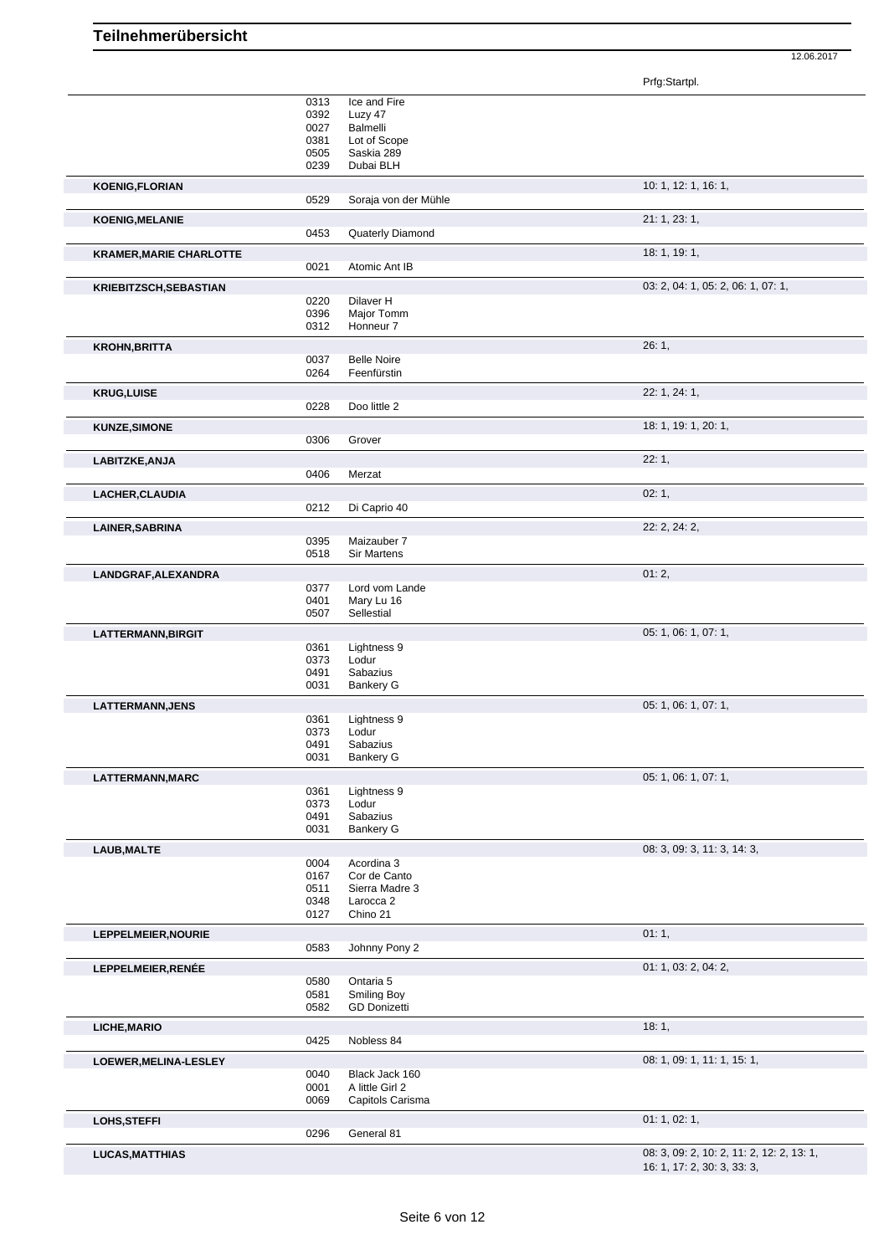Prfg:Startpl.

|                                | 0313         | Ice and Fire                              |                                           |
|--------------------------------|--------------|-------------------------------------------|-------------------------------------------|
|                                | 0392         | Luzy 47                                   |                                           |
|                                | 0027         | Balmelli                                  |                                           |
|                                | 0381         | Lot of Scope                              |                                           |
|                                | 0505         | Saskia 289                                |                                           |
|                                | 0239         | Dubai BLH                                 |                                           |
| <b>KOENIG,FLORIAN</b>          |              |                                           | 10: 1, 12: 1, 16: 1,                      |
|                                | 0529         | Soraja von der Mühle                      |                                           |
| <b>KOENIG, MELANIE</b>         |              |                                           | 21: 1, 23: 1,                             |
|                                | 0453         | Quaterly Diamond                          |                                           |
| <b>KRAMER, MARIE CHARLOTTE</b> |              |                                           | 18: 1, 19: 1,                             |
|                                | 0021         | Atomic Ant IB                             |                                           |
| <b>KRIEBITZSCH, SEBASTIAN</b>  |              |                                           | 03: 2, 04: 1, 05: 2, 06: 1, 07: 1,        |
|                                | 0220         | Dilaver H                                 |                                           |
|                                | 0396         | Major Tomm                                |                                           |
|                                | 0312         | Honneur 7                                 |                                           |
| <b>KROHN, BRITTA</b>           |              |                                           | 26:1,                                     |
|                                | 0037         | <b>Belle Noire</b>                        |                                           |
|                                | 0264         | Feenfürstin                               |                                           |
|                                |              |                                           | 22: 1, 24: 1,                             |
| <b>KRUG,LUISE</b>              | 0228         | Doo little 2                              |                                           |
|                                |              |                                           |                                           |
| <b>KUNZE, SIMONE</b>           |              |                                           | 18: 1, 19: 1, 20: 1,                      |
|                                | 0306         | Grover                                    |                                           |
| LABITZKE, ANJA                 |              |                                           | 22:1,                                     |
|                                | 0406         | Merzat                                    |                                           |
| LACHER, CLAUDIA                |              |                                           | 02:1,                                     |
|                                | 0212         | Di Caprio 40                              |                                           |
|                                |              |                                           | 22: 2, 24: 2,                             |
| <b>LAINER, SABRINA</b>         | 0395         | Maizauber 7                               |                                           |
|                                | 0518         | <b>Sir Martens</b>                        |                                           |
|                                |              |                                           |                                           |
| LANDGRAF, ALEXANDRA            | 0377         | Lord vom Lande                            | 01:2,                                     |
|                                | 0401         | Mary Lu 16                                |                                           |
|                                | 0507         | Sellestial                                |                                           |
|                                |              |                                           |                                           |
| LATTERMANN, BIRGIT             | 0361         | Lightness 9                               | 05: 1, 06: 1, 07: 1,                      |
|                                | 0373         | Lodur                                     |                                           |
|                                | 0491         | Sabazius                                  |                                           |
|                                | 0031         | <b>Bankery G</b>                          |                                           |
| LATTERMANN, JENS               |              |                                           | 05: 1, 06: 1, 07: 1,                      |
|                                | 0361         | Lightness 9                               |                                           |
|                                | 0373         | Lodur                                     |                                           |
|                                | 0491         | Sabazius                                  |                                           |
|                                | 0031         | <b>Bankery G</b>                          |                                           |
| LATTERMANN, MARC               |              |                                           | 05: 1, 06: 1, 07: 1,                      |
|                                | 0361         | Lightness 9                               |                                           |
|                                | 0373         | Lodur                                     |                                           |
|                                | 0491         | Sabazius                                  |                                           |
|                                | 0031         | <b>Bankery G</b>                          |                                           |
| LAUB, MALTE                    |              |                                           | 08: 3, 09: 3, 11: 3, 14: 3,               |
|                                | 0004         | Acordina 3                                |                                           |
|                                | 0167         | Cor de Canto                              |                                           |
|                                | 0511<br>0348 | Sierra Madre 3<br>Larocca <sub>2</sub>    |                                           |
|                                | 0127         | Chino 21                                  |                                           |
|                                |              |                                           |                                           |
| LEPPELMEIER, NOURIE            |              |                                           | 01:1,                                     |
|                                | 0583         | Johnny Pony 2                             |                                           |
| LEPPELMEIER, RENÉE             |              |                                           | 01: 1, 03: 2, 04: 2,                      |
|                                | 0580         | Ontaria 5                                 |                                           |
|                                | 0581<br>0582 | <b>Smiling Boy</b><br><b>GD Donizetti</b> |                                           |
|                                |              |                                           |                                           |
| LICHE, MARIO                   |              |                                           | 18:1,                                     |
|                                | 0425         | Nobless 84                                |                                           |
| LOEWER, MELINA-LESLEY          |              |                                           | 08: 1, 09: 1, 11: 1, 15: 1,               |
|                                | 0040         | Black Jack 160                            |                                           |
|                                | 0001         | A little Girl 2                           |                                           |
|                                | 0069         | Capitols Carisma                          |                                           |
| LOHS, STEFFI                   |              |                                           | 01: 1, 02: 1,                             |
|                                | 0296         | General 81                                |                                           |
| <b>LUCAS, MATTHIAS</b>         |              |                                           | 08: 3, 09: 2, 10: 2, 11: 2, 12: 2, 13: 1, |
|                                |              |                                           | 16: 1, 17: 2, 30: 3, 33: 3,               |
|                                |              |                                           |                                           |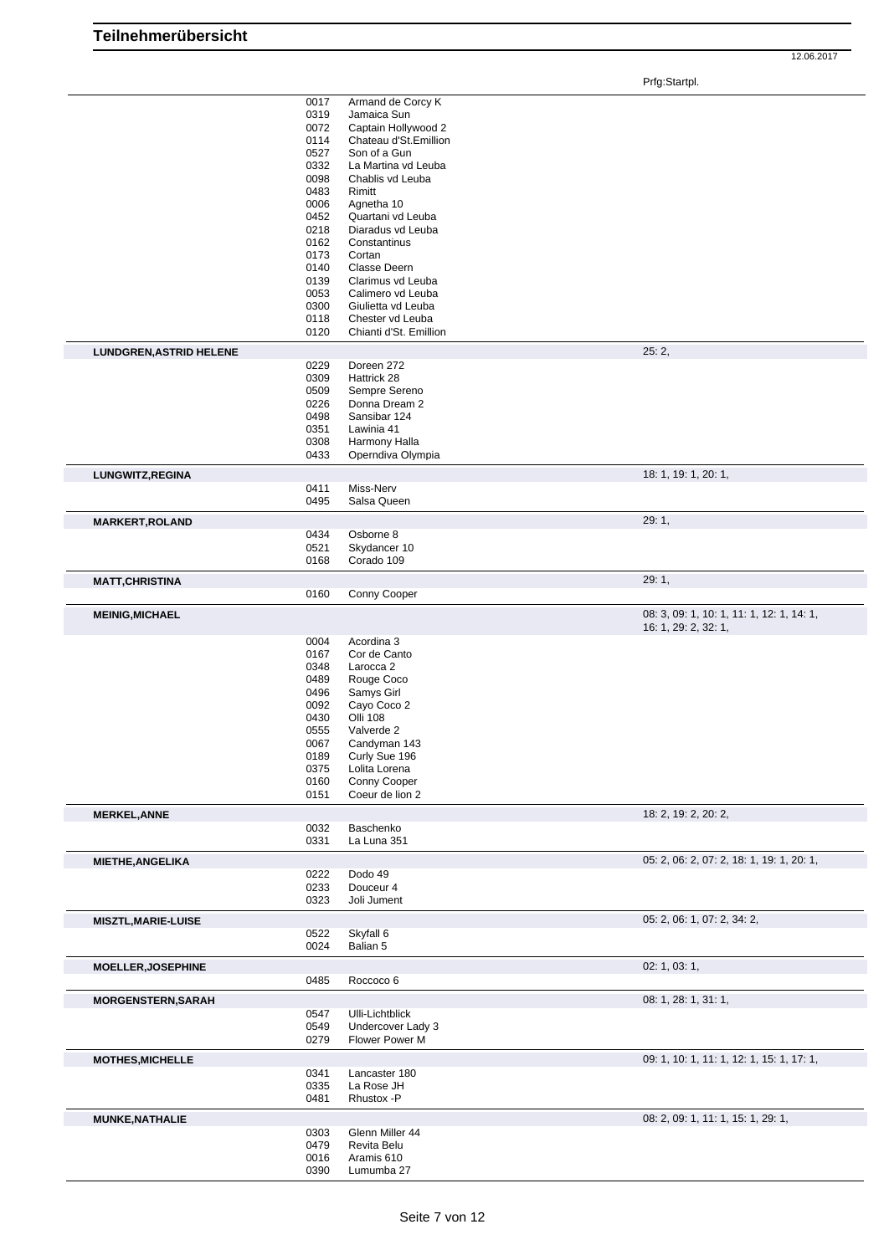Prfg:Startpl.

|                                | 0017<br>0319<br>0072<br>0114<br>0527<br>0332<br>0098<br>0483<br>0006<br>0452<br>0218<br>0162<br>0173<br>0140 | Armand de Corcy K<br>Jamaica Sun<br>Captain Hollywood 2<br>Chateau d'St.Emillion<br>Son of a Gun<br>La Martina vd Leuba<br>Chablis vd Leuba<br>Rimitt<br>Agnetha 10<br>Quartani vd Leuba<br>Diaradus vd Leuba<br>Constantinus<br>Cortan<br>Classe Deern |                                                                   |
|--------------------------------|--------------------------------------------------------------------------------------------------------------|---------------------------------------------------------------------------------------------------------------------------------------------------------------------------------------------------------------------------------------------------------|-------------------------------------------------------------------|
|                                | 0139                                                                                                         | Clarimus vd Leuba                                                                                                                                                                                                                                       |                                                                   |
|                                | 0053<br>0300                                                                                                 | Calimero vd Leuba<br>Giulietta vd Leuba                                                                                                                                                                                                                 |                                                                   |
|                                | 0118                                                                                                         | Chester vd Leuba                                                                                                                                                                                                                                        |                                                                   |
|                                | 0120                                                                                                         | Chianti d'St. Emillion                                                                                                                                                                                                                                  |                                                                   |
| <b>LUNDGREN, ASTRID HELENE</b> | 0229                                                                                                         | Doreen 272                                                                                                                                                                                                                                              | 25:2,                                                             |
|                                | 0309                                                                                                         | Hattrick 28                                                                                                                                                                                                                                             |                                                                   |
|                                | 0509<br>0226                                                                                                 | Sempre Sereno<br>Donna Dream 2                                                                                                                                                                                                                          |                                                                   |
|                                | 0498                                                                                                         | Sansibar 124                                                                                                                                                                                                                                            |                                                                   |
|                                | 0351                                                                                                         | Lawinia 41                                                                                                                                                                                                                                              |                                                                   |
|                                | 0308                                                                                                         | Harmony Halla                                                                                                                                                                                                                                           |                                                                   |
|                                | 0433                                                                                                         | Operndiva Olympia                                                                                                                                                                                                                                       |                                                                   |
| LUNGWITZ, REGINA               | 0411                                                                                                         | Miss-Nerv                                                                                                                                                                                                                                               | 18: 1, 19: 1, 20: 1,                                              |
|                                | 0495                                                                                                         | Salsa Queen                                                                                                                                                                                                                                             |                                                                   |
| <b>MARKERT, ROLAND</b>         |                                                                                                              |                                                                                                                                                                                                                                                         | 29:1,                                                             |
|                                | 0434<br>0521                                                                                                 | Osborne 8<br>Skydancer 10                                                                                                                                                                                                                               |                                                                   |
|                                | 0168                                                                                                         | Corado 109                                                                                                                                                                                                                                              |                                                                   |
| <b>MATT, CHRISTINA</b>         |                                                                                                              |                                                                                                                                                                                                                                                         | 29: 1,                                                            |
|                                | 0160                                                                                                         | Conny Cooper                                                                                                                                                                                                                                            |                                                                   |
| <b>MEINIG, MICHAEL</b>         |                                                                                                              |                                                                                                                                                                                                                                                         | 08: 3, 09: 1, 10: 1, 11: 1, 12: 1, 14: 1,<br>16: 1, 29: 2, 32: 1, |
|                                | 0004<br>0167<br>0348<br>0489<br>0496<br>0092<br>0430<br>0555<br>0067<br>0189<br>0375<br>0160<br>0151         | Acordina 3<br>Cor de Canto<br>Larocca <sub>2</sub><br>Rouge Coco<br>Samys Girl<br>Cayo Coco 2<br><b>Olli 108</b><br>Valverde 2<br>Candyman 143<br>Curly Sue 196<br>Lolita Lorena<br>Conny Cooper<br>Coeur de lion 2                                     |                                                                   |
| <b>MERKEL, ANNE</b>            |                                                                                                              |                                                                                                                                                                                                                                                         | 18: 2, 19: 2, 20: 2,                                              |
|                                | 0032                                                                                                         | Baschenko                                                                                                                                                                                                                                               |                                                                   |
|                                | 0331                                                                                                         | La Luna 351                                                                                                                                                                                                                                             |                                                                   |
| <b>MIETHE, ANGELIKA</b>        | 0222                                                                                                         | Dodo 49                                                                                                                                                                                                                                                 | 05: 2, 06: 2, 07: 2, 18: 1, 19: 1, 20: 1,                         |
|                                | 0233                                                                                                         | Douceur 4                                                                                                                                                                                                                                               |                                                                   |
|                                | 0323                                                                                                         | Joli Jument                                                                                                                                                                                                                                             |                                                                   |
| <b>MISZTL, MARIE-LUISE</b>     |                                                                                                              |                                                                                                                                                                                                                                                         | 05: 2, 06: 1, 07: 2, 34: 2,                                       |
|                                | 0522                                                                                                         | Skyfall 6                                                                                                                                                                                                                                               |                                                                   |
|                                | 0024                                                                                                         | Balian 5                                                                                                                                                                                                                                                |                                                                   |
| <b>MOELLER, JOSEPHINE</b>      | 0485                                                                                                         | Roccoco 6                                                                                                                                                                                                                                               | 02: 1, 03: 1,                                                     |
| <b>MORGENSTERN, SARAH</b>      |                                                                                                              |                                                                                                                                                                                                                                                         | 08: 1, 28: 1, 31: 1,                                              |
|                                | 0547<br>0549<br>0279                                                                                         | Ulli-Lichtblick<br>Undercover Lady 3<br>Flower Power M                                                                                                                                                                                                  |                                                                   |
| <b>MOTHES, MICHELLE</b>        | 0341<br>0335<br>0481                                                                                         | Lancaster 180<br>La Rose JH<br>Rhustox -P                                                                                                                                                                                                               | 09: 1, 10: 1, 11: 1, 12: 1, 15: 1, 17: 1,                         |
| <b>MUNKE, NATHALIE</b>         |                                                                                                              |                                                                                                                                                                                                                                                         | 08: 2, 09: 1, 11: 1, 15: 1, 29: 1,                                |
|                                | 0303<br>0479<br>0016<br>0390                                                                                 | Glenn Miller 44<br>Revita Belu<br>Aramis 610<br>Lumumba 27                                                                                                                                                                                              |                                                                   |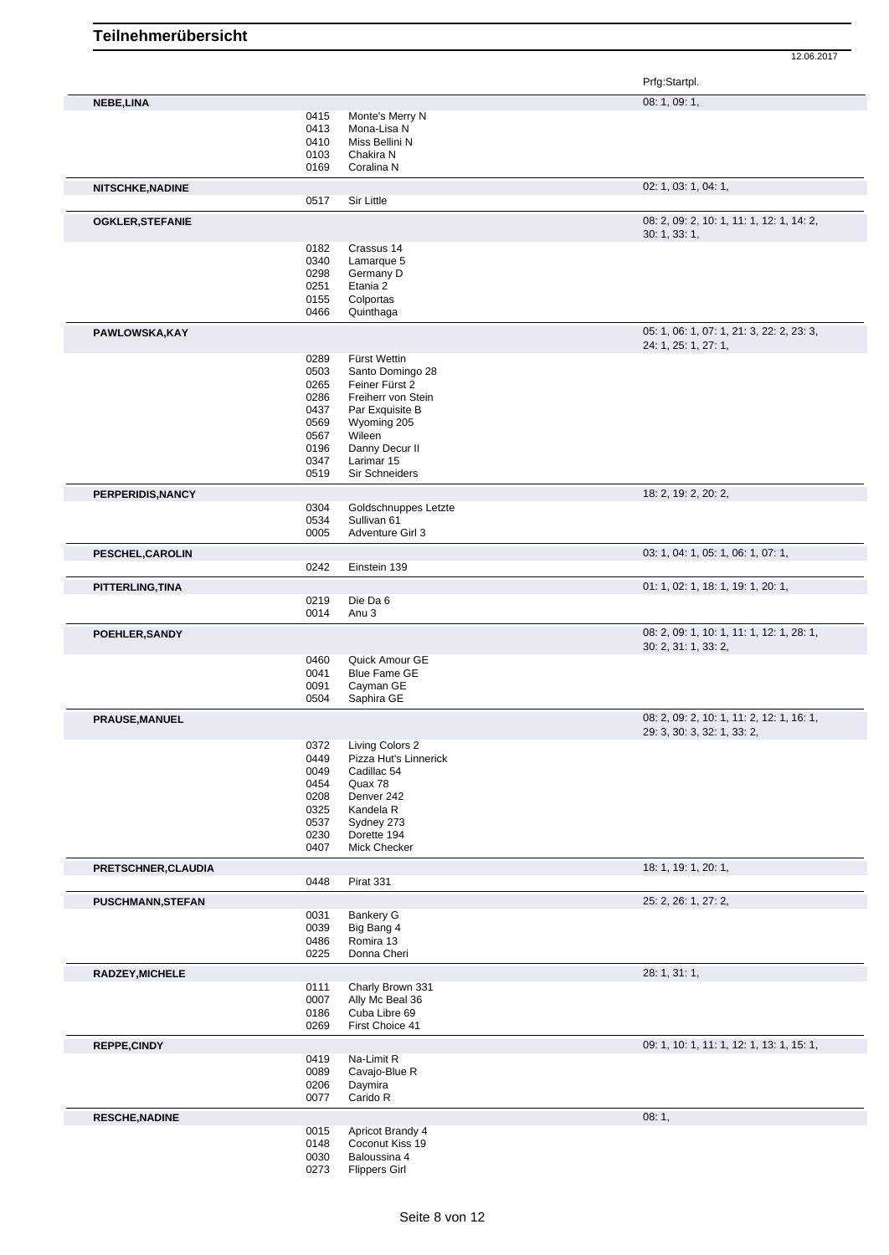|                          |              |                                     | Prfg:Startpl.                                                            |
|--------------------------|--------------|-------------------------------------|--------------------------------------------------------------------------|
| NEBE, LINA               |              |                                     | 08: 1, 09: 1,                                                            |
|                          | 0415         | Monte's Merry N                     |                                                                          |
|                          | 0413         | Mona-Lisa N                         |                                                                          |
|                          | 0410         | Miss Bellini N                      |                                                                          |
|                          | 0103         | Chakira N                           |                                                                          |
|                          | 0169         | Coralina N                          |                                                                          |
| <b>NITSCHKE, NADINE</b>  |              |                                     | 02: 1, 03: 1, 04: 1,                                                     |
|                          | 0517         | Sir Little                          |                                                                          |
| <b>OGKLER, STEFANIE</b>  |              |                                     | 08: 2, 09: 2, 10: 1, 11: 1, 12: 1, 14: 2,<br>30: 1, 33: 1,               |
|                          | 0182         | Crassus 14                          |                                                                          |
|                          | 0340         | Lamarque 5                          |                                                                          |
|                          | 0298         | Germany D                           |                                                                          |
|                          | 0251         | Etania 2                            |                                                                          |
|                          | 0155<br>0466 | Colportas<br>Quinthaga              |                                                                          |
| PAWLOWSKA, KAY           |              |                                     | 05: 1, 06: 1, 07: 1, 21: 3, 22: 2, 23: 3,                                |
|                          |              |                                     | 24: 1, 25: 1, 27: 1,                                                     |
|                          | 0289<br>0503 | Fürst Wettin<br>Santo Domingo 28    |                                                                          |
|                          | 0265         | Feiner Fürst 2                      |                                                                          |
|                          | 0286         | Freiherr von Stein                  |                                                                          |
|                          | 0437         | Par Exquisite B                     |                                                                          |
|                          | 0569         | Wyoming 205                         |                                                                          |
|                          | 0567         | Wileen                              |                                                                          |
|                          | 0196         | Danny Decur II                      |                                                                          |
|                          | 0347         | Larimar 15                          |                                                                          |
|                          | 0519         | Sir Schneiders                      |                                                                          |
| PERPERIDIS, NANCY        | 0304         | Goldschnuppes Letzte                | 18: 2, 19: 2, 20: 2,                                                     |
|                          | 0534         | Sullivan 61                         |                                                                          |
|                          | 0005         | Adventure Girl 3                    |                                                                          |
| PESCHEL, CAROLIN         |              |                                     | 03: 1, 04: 1, 05: 1, 06: 1, 07: 1,                                       |
|                          | 0242         | Einstein 139                        |                                                                          |
| <b>PITTERLING, TINA</b>  |              |                                     | 01: 1, 02: 1, 18: 1, 19: 1, 20: 1,                                       |
|                          | 0219         | Die Da 6                            |                                                                          |
|                          | 0014         | Anu <sub>3</sub>                    |                                                                          |
| POEHLER, SANDY           |              |                                     | 08: 2, 09: 1, 10: 1, 11: 1, 12: 1, 28: 1,<br>30: 2, 31: 1, 33: 2,        |
|                          | 0460         | Quick Amour GE                      |                                                                          |
|                          | 0041         | <b>Blue Fame GE</b>                 |                                                                          |
|                          | 0091         | Cayman GE                           |                                                                          |
|                          | 0504         | Saphira GE                          |                                                                          |
| <b>PRAUSE, MANUEL</b>    |              |                                     | 08: 2, 09: 2, 10: 1, 11: 2, 12: 1, 16: 1,<br>29: 3, 30: 3, 32: 1, 33: 2, |
|                          | 0372         | Living Colors 2                     |                                                                          |
|                          | 0449         | Pizza Hut's Linnerick               |                                                                          |
|                          | 0049         | Cadillac <sub>54</sub>              |                                                                          |
|                          | 0454         | Quax 78                             |                                                                          |
|                          | 0208         | Denver 242                          |                                                                          |
|                          | 0325         | Kandela R                           |                                                                          |
|                          | 0537         | Sydney 273<br>Dorette 194           |                                                                          |
|                          | 0230<br>0407 | Mick Checker                        |                                                                          |
| PRETSCHNER, CLAUDIA      |              |                                     | 18: 1, 19: 1, 20: 1,                                                     |
|                          | 0448         | Pirat 331                           |                                                                          |
| <b>PUSCHMANN, STEFAN</b> |              |                                     | 25: 2, 26: 1, 27: 2,                                                     |
|                          | 0031         | <b>Bankery G</b>                    |                                                                          |
|                          | 0039         | Big Bang 4                          |                                                                          |
|                          | 0486<br>0225 | Romira 13<br>Donna Cheri            |                                                                          |
| RADZEY, MICHELE          |              |                                     | 28: 1, 31: 1,                                                            |
|                          | 0111         | Charly Brown 331                    |                                                                          |
|                          | 0007         | Ally Mc Beal 36                     |                                                                          |
|                          | 0186<br>0269 | Cuba Libre 69<br>First Choice 41    |                                                                          |
|                          |              |                                     | 09: 1, 10: 1, 11: 1, 12: 1, 13: 1, 15: 1,                                |
| REPPE, CINDY             | 0419         | Na-Limit R                          |                                                                          |
|                          | 0089         | Cavajo-Blue R                       |                                                                          |
|                          | 0206         | Daymira                             |                                                                          |
|                          | 0077         | Carido R                            |                                                                          |
| <b>RESCHE, NADINE</b>    |              |                                     | 08:1,                                                                    |
|                          | 0015<br>0148 | Apricot Brandy 4<br>Coconut Kiss 19 |                                                                          |
|                          | 0030         | Baloussina 4                        |                                                                          |
|                          | 0273         | <b>Flippers Girl</b>                |                                                                          |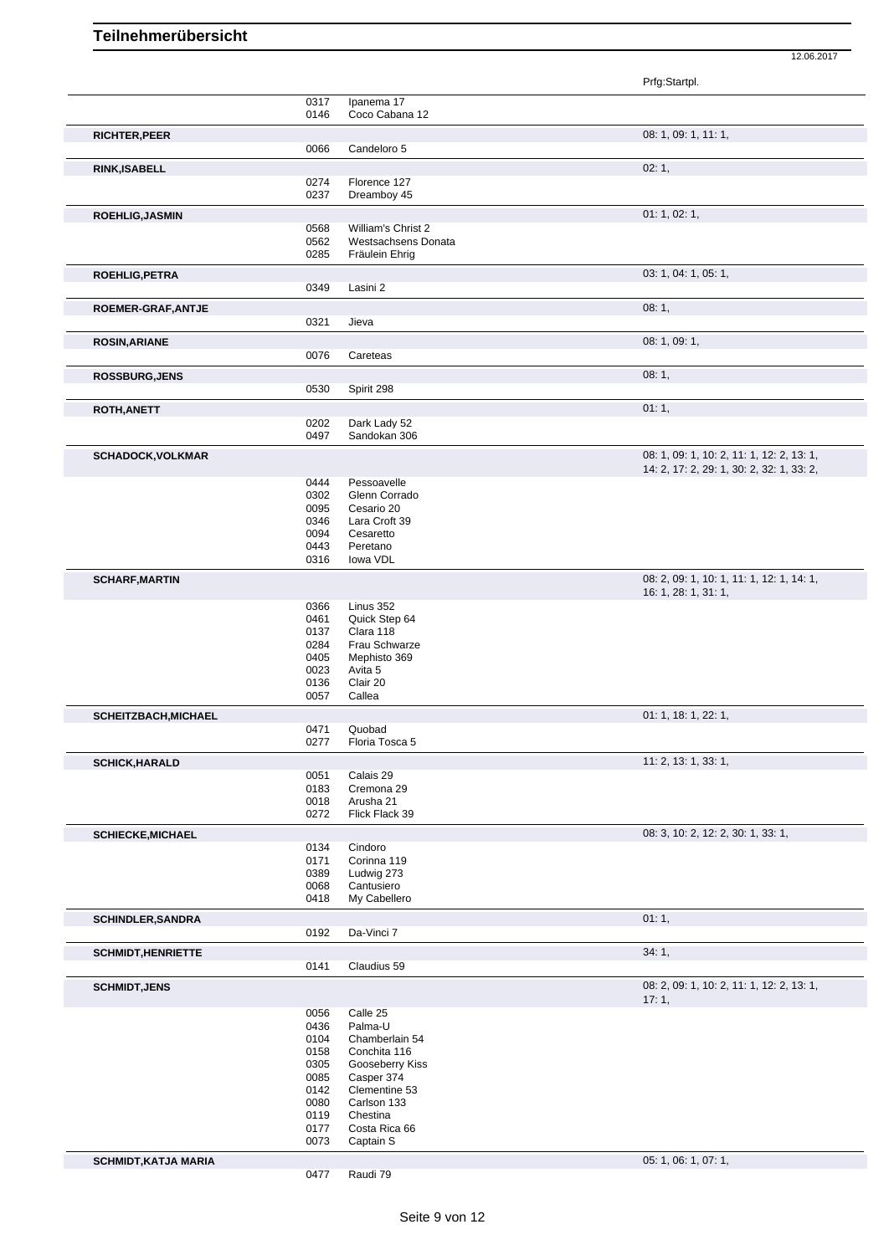|                             |              |                                           | Prfg:Startpl.                             |
|-----------------------------|--------------|-------------------------------------------|-------------------------------------------|
|                             | 0317         | Ipanema 17                                |                                           |
|                             | 0146         | Coco Cabana 12                            |                                           |
| <b>RICHTER, PEER</b>        |              |                                           | 08: 1, 09: 1, 11: 1,                      |
|                             | 0066         | Candeloro 5                               |                                           |
| <b>RINK, ISABELL</b>        |              |                                           | 02:1,                                     |
|                             | 0274         | Florence 127                              |                                           |
|                             | 0237         | Dreamboy 45                               |                                           |
| <b>ROEHLIG, JASMIN</b>      |              |                                           | 01: 1, 02: 1,                             |
|                             | 0568<br>0562 | William's Christ 2<br>Westsachsens Donata |                                           |
|                             | 0285         | Fräulein Ehrig                            |                                           |
| <b>ROEHLIG, PETRA</b>       |              |                                           | 03: 1, 04: 1, 05: 1,                      |
|                             | 0349         | Lasini 2                                  |                                           |
| ROEMER-GRAF, ANTJE          |              |                                           | 08:1,                                     |
|                             | 0321         | Jieva                                     |                                           |
| <b>ROSIN, ARIANE</b>        |              |                                           | 08: 1, 09: 1,                             |
|                             | 0076         | Careteas                                  |                                           |
| <b>ROSSBURG, JENS</b>       |              |                                           | 08:1,                                     |
|                             | 0530         | Spirit 298                                |                                           |
| ROTH, ANETT                 |              |                                           | 01:1,                                     |
|                             | 0202         | Dark Lady 52                              |                                           |
|                             | 0497         | Sandokan 306                              |                                           |
| <b>SCHADOCK, VOLKMAR</b>    |              |                                           | 08: 1, 09: 1, 10: 2, 11: 1, 12: 2, 13: 1, |
|                             |              |                                           | 14: 2, 17: 2, 29: 1, 30: 2, 32: 1, 33: 2, |
|                             | 0444<br>0302 | Pessoavelle<br>Glenn Corrado              |                                           |
|                             | 0095         | Cesario 20                                |                                           |
|                             | 0346         | Lara Croft 39                             |                                           |
|                             | 0094<br>0443 | Cesaretto<br>Peretano                     |                                           |
|                             | 0316         | lowa VDL                                  |                                           |
| <b>SCHARF, MARTIN</b>       |              |                                           | 08: 2, 09: 1, 10: 1, 11: 1, 12: 1, 14: 1, |
|                             |              |                                           | 16: 1, 28: 1, 31: 1,                      |
|                             | 0366         | Linus 352                                 |                                           |
|                             | 0461<br>0137 | Quick Step 64<br>Clara 118                |                                           |
|                             | 0284         | Frau Schwarze                             |                                           |
|                             | 0405         | Mephisto 369                              |                                           |
|                             | 0023<br>0136 | Avita 5<br>Clair 20                       |                                           |
|                             | 0057         | Callea                                    |                                           |
| <b>SCHEITZBACH, MICHAEL</b> |              |                                           | 01: 1, 18: 1, 22: 1,                      |
|                             | 0471         | Quobad                                    |                                           |
|                             | 0277         | Floria Tosca 5                            |                                           |
| <b>SCHICK, HARALD</b>       |              |                                           | 11: 2, 13: 1, 33: 1,                      |
|                             | 0051         | Calais 29                                 |                                           |
|                             | 0183<br>0018 | Cremona 29<br>Arusha 21                   |                                           |
|                             | 0272         | Flick Flack 39                            |                                           |
| <b>SCHIECKE, MICHAEL</b>    |              |                                           | 08: 3, 10: 2, 12: 2, 30: 1, 33: 1,        |
|                             | 0134         | Cindoro                                   |                                           |
|                             | 0171         | Corinna 119<br>Ludwig 273                 |                                           |
|                             | 0389<br>0068 | Cantusiero                                |                                           |
|                             | 0418         | My Cabellero                              |                                           |
| <b>SCHINDLER, SANDRA</b>    |              |                                           | 01:1,                                     |
|                             | 0192         | Da-Vinci 7                                |                                           |
| <b>SCHMIDT, HENRIETTE</b>   |              |                                           | 34:1,                                     |
|                             | 0141         | Claudius 59                               |                                           |
| <b>SCHMIDT, JENS</b>        |              |                                           | 08: 2, 09: 1, 10: 2, 11: 1, 12: 2, 13: 1, |
|                             |              |                                           | 17:1,                                     |
|                             | 0056         | Calle 25                                  |                                           |
|                             | 0436<br>0104 | Palma-U<br>Chamberlain 54                 |                                           |
|                             | 0158         | Conchita 116                              |                                           |
|                             | 0305         | Gooseberry Kiss                           |                                           |
|                             | 0085         | Casper 374                                |                                           |
|                             | 0142<br>0080 | Clementine 53<br>Carlson 133              |                                           |
|                             | 0119         | Chestina                                  |                                           |
|                             | 0177         | Costa Rica 66                             |                                           |
|                             | 0073         | Captain S                                 |                                           |
| <b>SCHMIDT, KATJA MARIA</b> |              |                                           | 05: 1, 06: 1, 07: 1,                      |
|                             | 0477         | Raudi 79                                  |                                           |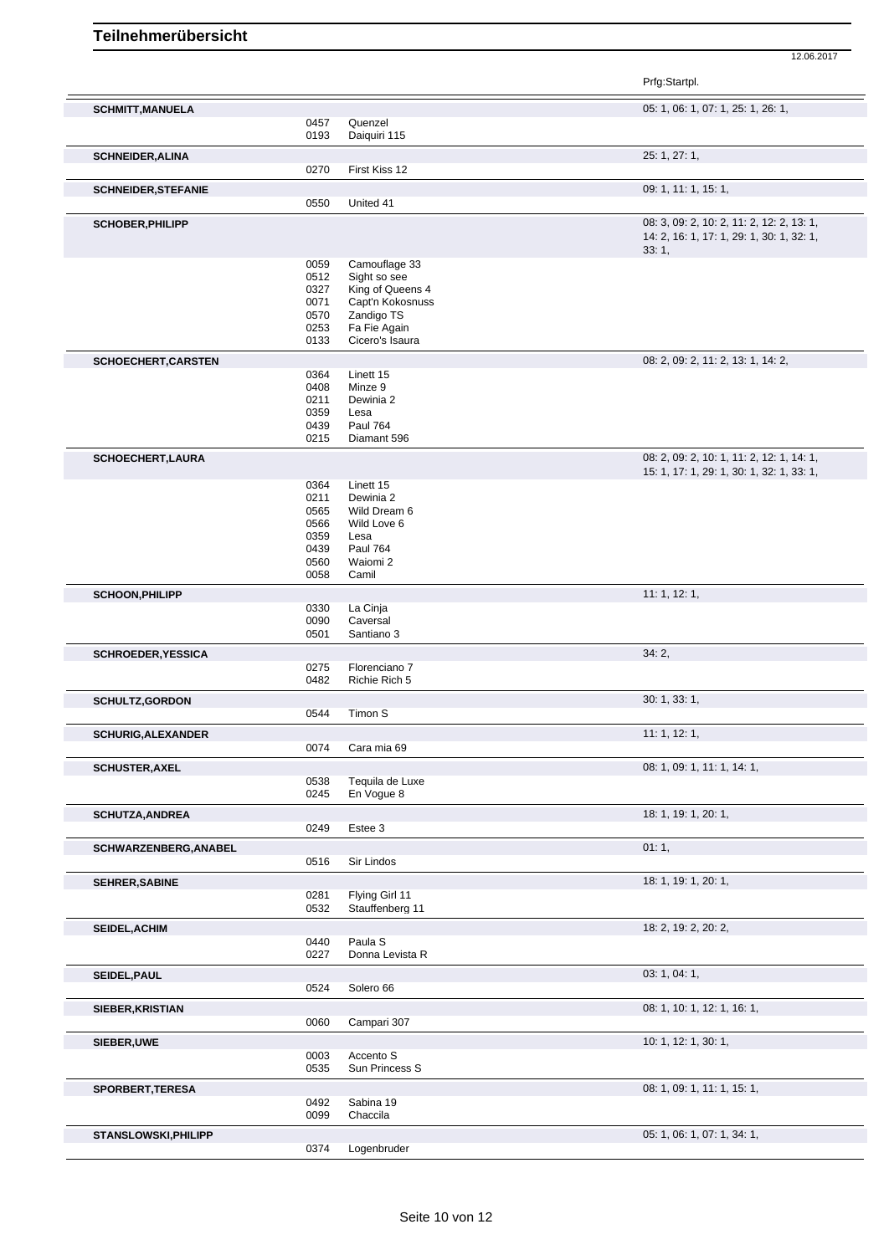|                             |              |                                  | Prfg:Startpl.                                                                                   |
|-----------------------------|--------------|----------------------------------|-------------------------------------------------------------------------------------------------|
| <b>SCHMITT, MANUELA</b>     |              |                                  | 05: 1, 06: 1, 07: 1, 25: 1, 26: 1,                                                              |
|                             | 0457         | Quenzel                          |                                                                                                 |
|                             | 0193         | Daiquiri 115                     |                                                                                                 |
| <b>SCHNEIDER, ALINA</b>     |              |                                  | 25: 1, 27: 1,                                                                                   |
|                             | 0270         | First Kiss 12                    |                                                                                                 |
| <b>SCHNEIDER, STEFANIE</b>  |              |                                  | 09: 1, 11: 1, 15: 1,                                                                            |
|                             | 0550         | United 41                        |                                                                                                 |
| <b>SCHOBER, PHILIPP</b>     |              |                                  | 08: 3, 09: 2, 10: 2, 11: 2, 12: 2, 13: 1,<br>14: 2, 16: 1, 17: 1, 29: 1, 30: 1, 32: 1,<br>33:1, |
|                             | 0059         | Camouflage 33                    |                                                                                                 |
|                             | 0512<br>0327 | Sight so see<br>King of Queens 4 |                                                                                                 |
|                             | 0071         | Capt'n Kokosnuss                 |                                                                                                 |
|                             | 0570         | Zandigo TS                       |                                                                                                 |
|                             | 0253         | Fa Fie Again                     |                                                                                                 |
|                             | 0133         | Cicero's Isaura                  |                                                                                                 |
| <b>SCHOECHERT, CARSTEN</b>  |              |                                  | 08: 2, 09: 2, 11: 2, 13: 1, 14: 2,                                                              |
|                             | 0364<br>0408 | Linett 15<br>Minze 9             |                                                                                                 |
|                             | 0211         | Dewinia 2                        |                                                                                                 |
|                             | 0359         | Lesa                             |                                                                                                 |
|                             | 0439         | <b>Paul 764</b>                  |                                                                                                 |
|                             | 0215         | Diamant 596                      |                                                                                                 |
| <b>SCHOECHERT,LAURA</b>     |              |                                  | 08: 2, 09: 2, 10: 1, 11: 2, 12: 1, 14: 1,<br>15: 1, 17: 1, 29: 1, 30: 1, 32: 1, 33: 1,          |
|                             | 0364         | Linett 15                        |                                                                                                 |
|                             | 0211         | Dewinia 2                        |                                                                                                 |
|                             | 0565         | Wild Dream 6                     |                                                                                                 |
|                             | 0566<br>0359 | Wild Love 6<br>Lesa              |                                                                                                 |
|                             | 0439         | <b>Paul 764</b>                  |                                                                                                 |
|                             | 0560         | Waiomi 2                         |                                                                                                 |
|                             | 0058         | Camil                            |                                                                                                 |
| <b>SCHOON, PHILIPP</b>      |              |                                  | 11:1, 12:1,                                                                                     |
|                             | 0330         | La Cinja                         |                                                                                                 |
|                             | 0090<br>0501 | Caversal<br>Santiano 3           |                                                                                                 |
| <b>SCHROEDER, YESSICA</b>   |              |                                  | 34:2,                                                                                           |
|                             | 0275         | Florenciano 7                    |                                                                                                 |
|                             | 0482         | Richie Rich 5                    |                                                                                                 |
| <b>SCHULTZ,GORDON</b>       |              |                                  | 30: 1, 33: 1,                                                                                   |
|                             | 0544         | Timon S                          |                                                                                                 |
| <b>SCHURIG, ALEXANDER</b>   |              |                                  | 11: 1, 12: 1,                                                                                   |
|                             | 0074         | Cara mia 69                      |                                                                                                 |
| <b>SCHUSTER, AXEL</b>       |              |                                  | 08: 1, 09: 1, 11: 1, 14: 1,                                                                     |
|                             | 0538         | Tequila de Luxe                  |                                                                                                 |
|                             | 0245         | En Vogue 8                       |                                                                                                 |
| <b>SCHUTZA, ANDREA</b>      | 0249         | Estee 3                          | 18: 1, 19: 1, 20: 1,                                                                            |
|                             |              |                                  | 01:1,                                                                                           |
| SCHWARZENBERG, ANABEL       | 0516         | Sir Lindos                       |                                                                                                 |
|                             |              |                                  | 18: 1, 19: 1, 20: 1,                                                                            |
| SEHRER, SABINE              | 0281         | Flying Girl 11                   |                                                                                                 |
|                             | 0532         | Stauffenberg 11                  |                                                                                                 |
| SEIDEL, ACHIM               |              |                                  | 18: 2, 19: 2, 20: 2,                                                                            |
|                             | 0440         | Paula S                          |                                                                                                 |
|                             | 0227         | Donna Levista R                  |                                                                                                 |
| SEIDEL, PAUL                |              |                                  | 03: 1, 04: 1,                                                                                   |
|                             | 0524         | Solero 66                        |                                                                                                 |
| SIEBER, KRISTIAN            |              |                                  | 08: 1, 10: 1, 12: 1, 16: 1,                                                                     |
|                             | 0060         | Campari 307                      |                                                                                                 |
| SIEBER, UWE                 |              |                                  | 10: 1, 12: 1, 30: 1,                                                                            |
|                             | 0003<br>0535 | Accento S<br>Sun Princess S      |                                                                                                 |
|                             |              |                                  |                                                                                                 |
| SPORBERT, TERESA            | 0492         | Sabina 19                        | 08: 1, 09: 1, 11: 1, 15: 1,                                                                     |
|                             | 0099         | Chaccila                         |                                                                                                 |
| <b>STANSLOWSKI, PHILIPP</b> |              |                                  | 05: 1, 06: 1, 07: 1, 34: 1,                                                                     |
|                             | 0374         | Logenbruder                      |                                                                                                 |
|                             |              |                                  |                                                                                                 |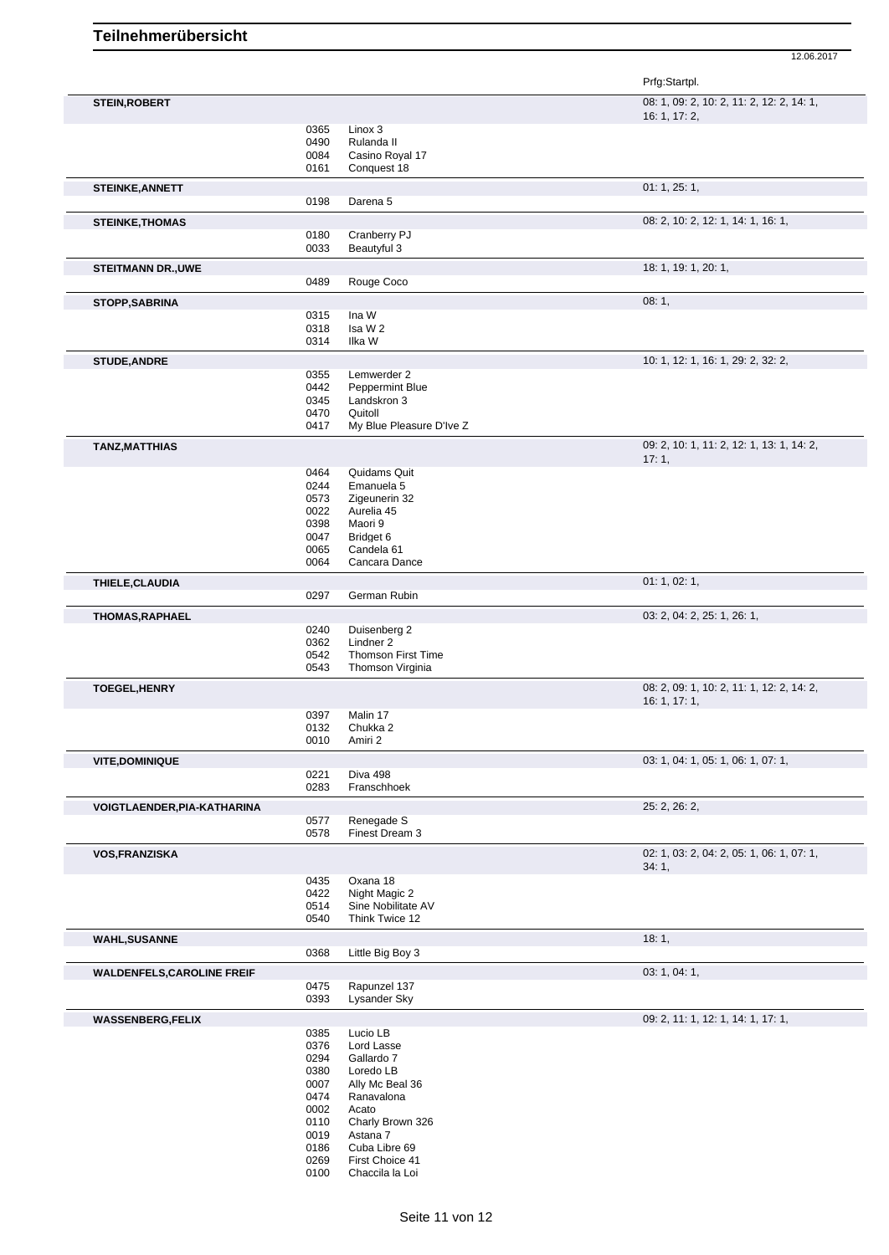|                                   |              |                                               | Prfg:Startpl.                                      |
|-----------------------------------|--------------|-----------------------------------------------|----------------------------------------------------|
| <b>STEIN, ROBERT</b>              |              |                                               | 08: 1, 09: 2, 10: 2, 11: 2, 12: 2, 14: 1,          |
|                                   |              |                                               | 16: 1, 17: 2,                                      |
|                                   | 0365<br>0490 | Linox 3<br>Rulanda II                         |                                                    |
|                                   | 0084         | Casino Royal 17                               |                                                    |
|                                   | 0161         | Conquest 18                                   |                                                    |
| STEINKE, ANNETT                   | 0198         | Darena <sub>5</sub>                           | 01: 1, 25: 1,                                      |
|                                   |              |                                               |                                                    |
| <b>STEINKE, THOMAS</b>            | 0180         | Cranberry PJ                                  | 08: 2, 10: 2, 12: 1, 14: 1, 16: 1,                 |
|                                   | 0033         | Beautyful 3                                   |                                                    |
| <b>STEITMANN DR., UWE</b>         |              |                                               | 18: 1, 19: 1, 20: 1,                               |
|                                   | 0489         | Rouge Coco                                    |                                                    |
| <b>STOPP, SABRINA</b>             |              |                                               | 08:1,                                              |
|                                   | 0315         | Ina W<br>Isa W 2                              |                                                    |
|                                   | 0318<br>0314 | Ilka W                                        |                                                    |
| <b>STUDE, ANDRE</b>               |              |                                               | 10: 1, 12: 1, 16: 1, 29: 2, 32: 2,                 |
|                                   | 0355         | Lemwerder 2                                   |                                                    |
|                                   | 0442         | Peppermint Blue                               |                                                    |
|                                   | 0345<br>0470 | Landskron 3<br>Quitoll                        |                                                    |
|                                   | 0417         | My Blue Pleasure D'Ive Z                      |                                                    |
| <b>TANZ, MATTHIAS</b>             |              |                                               | 09: 2, 10: 1, 11: 2, 12: 1, 13: 1, 14: 2,          |
|                                   |              |                                               | 17:1,                                              |
|                                   | 0464<br>0244 | Quidams Quit<br>Emanuela <sub>5</sub>         |                                                    |
|                                   | 0573         | Zigeunerin 32                                 |                                                    |
|                                   | 0022<br>0398 | Aurelia 45<br>Maori 9                         |                                                    |
|                                   | 0047         | Bridget 6                                     |                                                    |
|                                   | 0065         | Candela 61                                    |                                                    |
|                                   | 0064         | Cancara Dance                                 |                                                    |
| THIELE, CLAUDIA                   | 0297         | German Rubin                                  | 01: 1, 02: 1,                                      |
| <b>THOMAS, RAPHAEL</b>            |              |                                               | 03: 2, 04: 2, 25: 1, 26: 1,                        |
|                                   | 0240         | Duisenberg 2                                  |                                                    |
|                                   | 0362         | Lindner 2                                     |                                                    |
|                                   | 0542<br>0543 | <b>Thomson First Time</b><br>Thomson Virginia |                                                    |
| <b>TOEGEL, HENRY</b>              |              |                                               | 08: 2, 09: 1, 10: 2, 11: 1, 12: 2, 14: 2,          |
|                                   |              |                                               | 16: 1, 17: 1,                                      |
|                                   | 0397         | Malin 17                                      |                                                    |
|                                   | 0132<br>0010 | Chukka 2<br>Amiri 2                           |                                                    |
| <b>VITE, DOMINIQUE</b>            |              |                                               | 03: 1, 04: 1, 05: 1, 06: 1, 07: 1,                 |
|                                   | 0221         | Diva 498                                      |                                                    |
|                                   | 0283         | Franschhoek                                   |                                                    |
| VOIGTLAENDER, PIA-KATHARINA       |              |                                               | 25: 2, 26: 2,                                      |
|                                   | 0577<br>0578 | Renegade S<br>Finest Dream 3                  |                                                    |
|                                   |              |                                               |                                                    |
| VOS, FRANZISKA                    |              |                                               | 02: 1, 03: 2, 04: 2, 05: 1, 06: 1, 07: 1,<br>34:1, |
|                                   | 0435         | Oxana 18                                      |                                                    |
|                                   | 0422<br>0514 | Night Magic 2<br>Sine Nobilitate AV           |                                                    |
|                                   | 0540         | Think Twice 12                                |                                                    |
| <b>WAHL, SUSANNE</b>              |              |                                               | 18:1,                                              |
|                                   | 0368         | Little Big Boy 3                              |                                                    |
| <b>WALDENFELS, CAROLINE FREIF</b> |              |                                               | 03: 1, 04: 1,                                      |
|                                   | 0475         | Rapunzel 137                                  |                                                    |
|                                   | 0393         | Lysander Sky                                  |                                                    |
| <b>WASSENBERG,FELIX</b>           | 0385         | Lucio LB                                      | 09: 2, 11: 1, 12: 1, 14: 1, 17: 1,                 |
|                                   | 0376         | Lord Lasse                                    |                                                    |
|                                   | 0294         | Gallardo 7                                    |                                                    |
|                                   | 0380<br>0007 | Loredo LB<br>Ally Mc Beal 36                  |                                                    |
|                                   | 0474         | Ranavalona                                    |                                                    |
|                                   | 0002         | Acato                                         |                                                    |
|                                   | 0110<br>0019 | Charly Brown 326<br>Astana 7                  |                                                    |
|                                   | 0186         | Cuba Libre 69                                 |                                                    |
|                                   | 0269         | First Choice 41                               |                                                    |
|                                   | 0100         | Chaccila la Loi                               |                                                    |